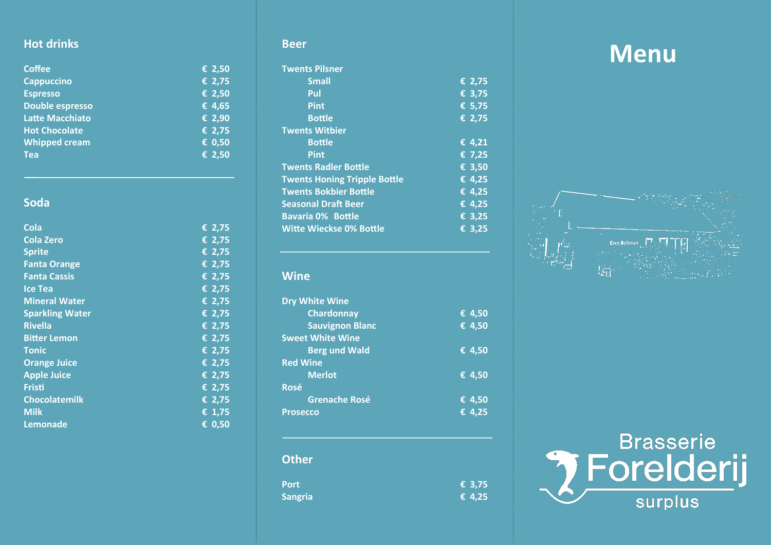## **Hot drinks**

| <b>Coffee</b>          | € 2,50                     |
|------------------------|----------------------------|
| <b>Cappuccino</b>      | $\overline{\epsilon}$ 2,75 |
| <b>Espresso</b>        | € 2,50                     |
| <b>Double espresso</b> | € 4,65                     |
| <b>Latte Macchiato</b> | € 2,90                     |
| <b>Hot Chocolate</b>   | € 2,75                     |
| <b>Whipped cream</b>   | € 0,50                     |
| <b>Tea</b>             | € 2,50                     |

## **Soda**

| <b>Cola</b>            | € 2,75                     |
|------------------------|----------------------------|
| <b>Cola Zero</b>       | € 2,75                     |
| <b>Sprite</b>          | € 2,75                     |
| <b>Fanta Orange</b>    | $\overline{\epsilon}$ 2,75 |
| <b>Fanta Cassis</b>    | € 2,75                     |
| <b>Ice Tea</b>         | € 2,75                     |
| <b>Mineral Water</b>   | € 2,75                     |
| <b>Sparkling Water</b> | € 2,75                     |
| <b>Rivella</b>         | € 2,75                     |
| <b>Bitter Lemon</b>    | € 2,75                     |
| <b>Tonic</b>           | € 2,75                     |
| <b>Orange Juice</b>    | $\overline{\epsilon}$ 2,75 |
| <b>Apple Juice</b>     | € 2,75                     |
| <b>Fristi</b>          | € 2,75                     |
| <b>Chocolatemilk</b>   | € 2,75                     |
| <b>Milk</b>            | € 1,75                     |
| <b>Lemonade</b>        | € 0,50                     |

#### **Beer**

| <b>Twents Pilsner</b>               |                 |
|-------------------------------------|-----------------|
| <b>Small</b>                        | € 2,75          |
| Pul                                 | € 3,75          |
| <b>Pint</b>                         | € 5,75          |
| <b>Bottle</b>                       | € 2,75          |
| <b>Twents Witbier</b>               |                 |
| <b>Bottle</b>                       | € 4,21          |
| <b>Pint</b>                         | € 7,25          |
| <b>Twents Radler Bottle</b>         | € 3,50          |
| <b>Twents Honing Tripple Bottle</b> | € 4,25          |
| <b>Twents Bokbier Bottle</b>        | € 4,25          |
| <b>Seasonal Draft Beer</b>          | € 4,25          |
| <b>Bavaria 0% Bottle</b>            | € 3,25          |
| <b>Witte Wieckse 0% Bottle</b>      | $\epsilon$ 3,25 |

#### **Wine**

| <b>Dry White Wine</b>   |                            |
|-------------------------|----------------------------|
| <b>Chardonnay</b>       | $\overline{6}$ 4,50        |
| <b>Sauvignon Blanc</b>  | € 4,50                     |
| <b>Sweet White Wine</b> |                            |
| <b>Berg und Wald</b>    | € 4,50                     |
| <b>Red Wine</b>         |                            |
| <b>Merlot</b>           | € 4,50                     |
| <b>Rosé</b>             |                            |
| <b>Grenache Rosé</b>    | $\overline{\epsilon}$ 4,50 |
| <b>Prosecco</b>         | € 4,25                     |
|                         |                            |
|                         |                            |
| .                       |                            |

# **Other Port E** 3,75<br> **Sangria E** 4,25 Sangria

# **Menu**